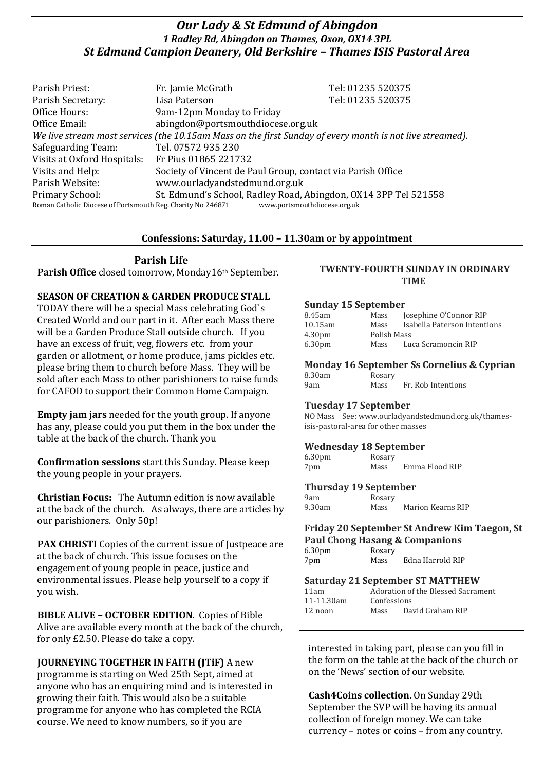# *Our Lady & St Edmund of Abingdon 1 Radley Rd, Abingdon on Thames, Oxon, OX14 3PL St Edmund Campion Deanery, Old Berkshire – Thames ISIS Pastoral Area*

Parish Priest: Fr. Jamie McGrath Tel: 01235 520375 Parish Secretary: Tel: 01235 520375 Office Hours: 9am-12pm Monday to Friday Office Email: abingdon@portsmouthdiocese.org.uk *We live stream most services (the 10.15am Mass on the first Sunday of every month is not live streamed).* Safeguarding Team: Tel. 07572 935 230 Visits at Oxford Hospitals: Fr Pius 01865 221732 Visits and Help: Society of Vincent de Paul Group, contact via Parish Office Parish Website: www.ourladyandstedmund.org.uk Primary School: St. Edmund's School, Radley Road, Abingdon, OX14 3PP Tel 521558 Roman Catholic Diocese of Portsmouth Reg. Charity No 246871 www.portsmouthdiocese.org.uk

## **Confessions: Saturday, 11.00 – 11.30am or by appointment**

# **Parish Life**

Parish Office closed tomorrow, Monday16th September.

## **SEASON OF CREATION & GARDEN PRODUCE STALL**

TODAY there will be a special Mass celebrating God`s Created World and our part in it. After each Mass there will be a Garden Produce Stall outside church. If you have an excess of fruit, veg, flowers etc. from your garden or allotment, or home produce, jams pickles etc. please bring them to church before Mass. They will be sold after each Mass to other parishioners to raise funds for CAFOD to support their Common Home Campaign.

**Empty jam jars** needed for the youth group. If anyone has any, please could you put them in the box under the table at the back of the church. Thank you

**Confirmation sessions** start this Sunday. Please keep the young people in your prayers.

**Christian Focus:** The Autumn edition is now available at the back of the church. As always, there are articles by our parishioners. Only 50p!

**PAX CHRISTI** Copies of the current issue of Justpeace are at the back of church. This issue focuses on the engagement of young people in peace, justice and environmental issues. Please help yourself to a copy if you wish.

**BIBLE ALIVE – OCTOBER EDITION**. Copies of Bible Alive are available every month at the back of the church, for only £2.50. Please do take a copy.

**JOURNEYING TOGETHER IN FAITH (JTiF)** A new programme is starting on Wed 25th Sept, aimed at anyone who has an enquiring mind and is interested in growing their faith. This would also be a suitable programme for anyone who has completed the RCIA course. We need to know numbers, so if you are

### **TWENTY-FOURTH SUNDAY IN ORDINARY TIME**

### **Sunday 15 September**

| 8.45am             | Mass        | Josephine O'Connor RIP       |  |
|--------------------|-------------|------------------------------|--|
| 10.15am            | Mass        | Isabella Paterson Intentions |  |
| 4.30 <sub>pm</sub> | Polish Mass |                              |  |
| 6.30 <sub>pm</sub> | Mass        | Luca Scramoncin RIP          |  |

**Monday 16 September Ss Cornelius & Cyprian** 8.30am Rosary 9am Mass Fr. Rob Intentions

### **Tuesday 17 September**

NO Mass See: www.ourladyandstedmund.org.uk/thamesisis-pastoral-area for other masses

## **Wednesday 18 September**

| 6.30 <sub>pm</sub> | Rosary |                |
|--------------------|--------|----------------|
| 7pm                | Mass   | Emma Flood RIP |

### **Thursday 19 September**

| 9am    |  |
|--------|--|
| 9.30am |  |

Rosary Mass Marion Kearns RIP

# **Friday 20 September St Andrew Kim Taegon, St Paul Chong Hasang & Companions**<br>6.30pm Rosary

 $6.30$ pm 7pm Mass Edna Harrold RIP

### **Saturday 21 September ST MATTHEW**

| 11am       |             | Adoration of the Blessed Sacrament |
|------------|-------------|------------------------------------|
| 11-11.30am | Confessions |                                    |
| 12 noon    | Mass        | David Graham RIP                   |

interested in taking part, please can you fill in the form on the table at the back of the church or on the 'News' section of our website.

**Cash4Coins collection**. On Sunday 29th September the SVP will be having its annual collection of foreign money. We can take currency – notes or coins – from any country.